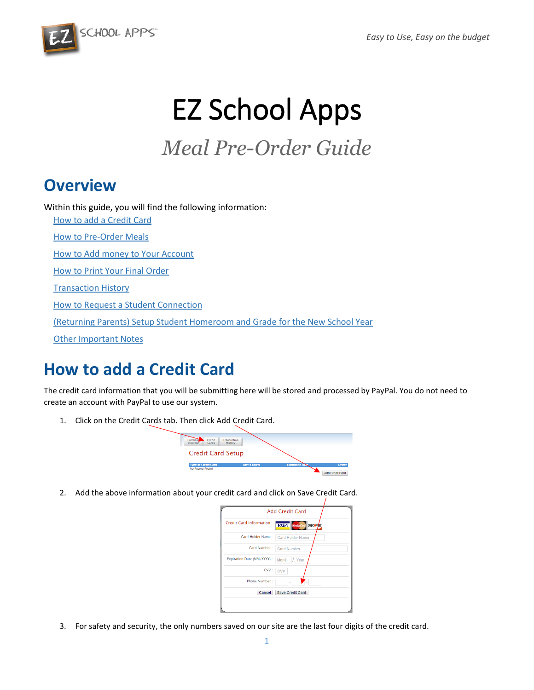

# EZ School Apps

# *Meal Pre-Order Guide*

### **Overview**

Within this guide, you will find the following information:

[How to add a Credit Card](#page-0-0) [How to Pre-Order Meals](#page-1-0) [How to Add money to Your Account](#page-1-1) [How to Print Your Final Order](#page-2-0) [Transaction History](#page-3-0) [How to Request a Student Connection](#page-3-1) [\(Returning Parents\) Setup Student Homeroom and Grade for the New School Year](#page-4-0) [Other Important Notes](#page-4-1)

# <span id="page-0-0"></span>**How to add a Credit Card**

The credit card information that you will be submitting here will be stored and processed by PayPal. You do not need to create an account with PayPal to use our system.

1. Click on the Credit Cards tab. Then click Add Credit Card.



2. Add the above information about your credit card and click on Save Credit Card.

|                                | <b>Add Credit Card</b>                                 |
|--------------------------------|--------------------------------------------------------|
| <b>Credit Card Information</b> | <b>VISA</b> Master <sub>card</sub> DISCOV <sub>R</sub> |
| Card Holder Name :             | <b>Card Holder Name</b>                                |
| Card Number:                   | <b>Card Number</b>                                     |
| Expiration Date (MM/YYYY) :    | Month<br>Year                                          |
| CVV:                           | <b>CVV</b>                                             |
| Phone Number:                  |                                                        |
| Cancel                         | Save Credit Card                                       |

3. For safety and security, the only numbers saved on our site are the last four digits of the credit card.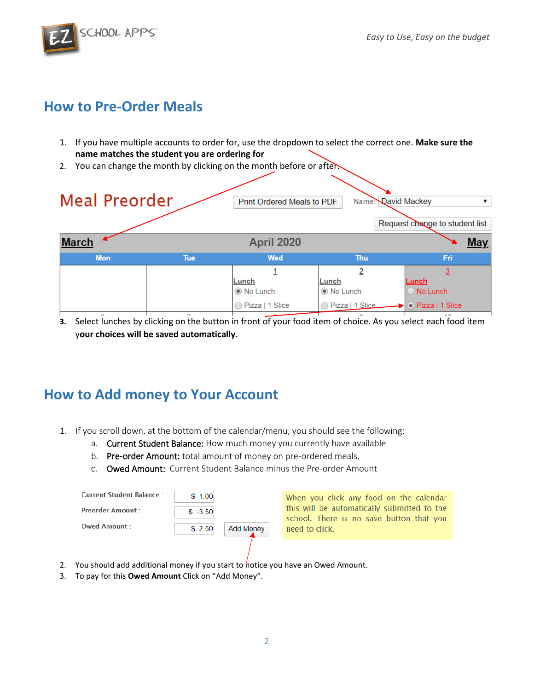SCHOOL APPS

### <span id="page-1-0"></span>**How to Pre-Order Meals**

- 1. If you have multiple accounts to order for, use the dropdown to select the correct one. **Make sure the name matches the student you are ordering for**
- 2. You can change the month by clicking on the month before or after.



**3.** Select lunches by clicking on the button in front of your food item of choice. As you select each food item y**our choices will be saved automatically.**

### <span id="page-1-1"></span>**How to Add money to Your Account**

- 1. If you scroll down, at the bottom of the calendar/menu, you should see the following:
	- a. Current Student Balance: How much money you currently have available
	- b. Pre-order Amount: total amount of money on pre-ordered meals.
	- c. Owed Amount: Current Student Balance minus the Pre-order Amount

| Current Student Balance | \$1.00    |                  |
|-------------------------|-----------|------------------|
| <b>Preorder Amount</b>  | $$ -3.50$ |                  |
| Owed Amount             | \$2.50    | <b>Add Money</b> |

When you click any food on the calendar this will be automatically submitted to the school. There is no save button that you need to click.

- 2. You should add additional money if you start to notice you have an Owed Amount.
- 3. To pay for this **Owed Amount** Click on "Add Money".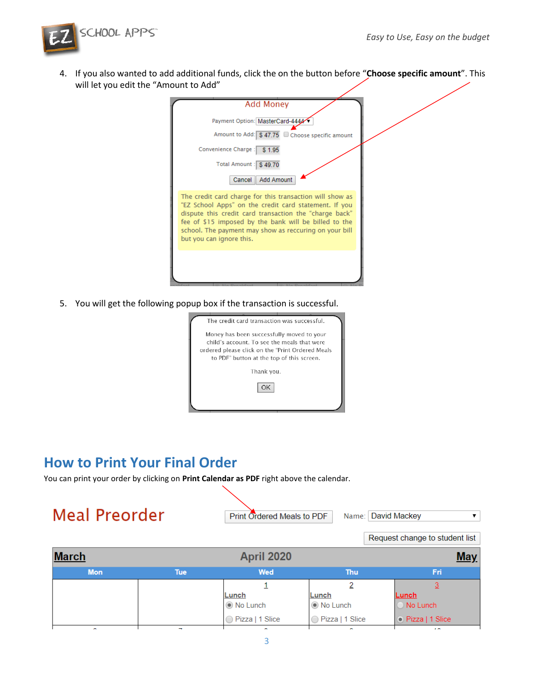

4. If you also wanted to add additional funds, click the on the button before "**Choose specific amount**". This will let you edit the "Amount to Add"

| <b>Add Money</b>                                                                                                                                                                                                                                                                                                           |  |
|----------------------------------------------------------------------------------------------------------------------------------------------------------------------------------------------------------------------------------------------------------------------------------------------------------------------------|--|
| Payment Option: MasterCard-4444                                                                                                                                                                                                                                                                                            |  |
| Amount to Add: \$47.75 □ Choose specific amount                                                                                                                                                                                                                                                                            |  |
| Convenience Charge: \$1.95                                                                                                                                                                                                                                                                                                 |  |
| Total Amount : \$49.70                                                                                                                                                                                                                                                                                                     |  |
| Add Amount<br>Cancel                                                                                                                                                                                                                                                                                                       |  |
| The credit card charge for this transaction will show as<br>"EZ School Apps" on the credit card statement. If you<br>dispute this credit card transaction the "charge back"<br>fee of \$15 imposed by the bank will be billed to the<br>school. The payment may show as reccuring on your bill<br>but you can ignore this. |  |
|                                                                                                                                                                                                                                                                                                                            |  |
|                                                                                                                                                                                                                                                                                                                            |  |

5. You will get the following popup box if the transaction is successful.

| The credit card transaction was successful.                                                   |
|-----------------------------------------------------------------------------------------------|
| Money has been successfully moved to your<br>child's account. To see the meals that were      |
| ordered please click on the "Print Ordered Meals<br>to PDF" button at the top of this screen. |
| Thank you.                                                                                    |
| OK                                                                                            |
|                                                                                               |
|                                                                                               |

#### <span id="page-2-0"></span>**How to Print Your Final Order**

You can print your order by clicking on **Print Calendar as PDF** right above the calendar.

# **Meal Preorder**

Print Ordered Meals to PDF

Name: David Mackey  $\pmb{\mathrm{v}}$ 

|              | Request change to student list |                          |                   |                   |     |
|--------------|--------------------------------|--------------------------|-------------------|-------------------|-----|
| <b>March</b> |                                | <b>April 2020</b>        |                   |                   | May |
| <b>Mon</b>   | <b>Tue</b>                     | <b>Wed</b><br><b>Thu</b> |                   | Fri               |     |
|              |                                |                          |                   |                   |     |
|              |                                | Lunch                    | Lunch             | Lunch             |     |
|              |                                | ◉ No Lunch               | ◉ No Lunch        | O No Lunch        |     |
|              |                                | ◯ Pizza   1 Slice        | ◯ Pizza   1 Slice | • Pizza   1 Slice |     |
| $\sim$       |                                |                          | $\sim$            | . .               |     |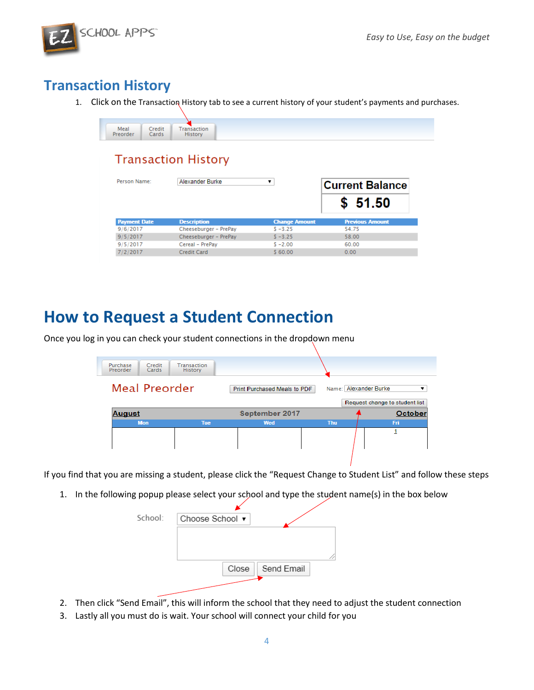

### <span id="page-3-0"></span>**Transaction History**

1. Click on the Transaction History tab to see a current history of your student's payments and purchases.

| Meal<br>Preorder | Credit<br>Cards | <b>There</b><br>zion<br><b>COLLANS</b><br><b>MOLULY</b> |
|------------------|-----------------|---------------------------------------------------------|

#### **Transaction History**

| Person Name:        | Alexander Burke       | ▼                    | <b>Current Balance</b><br>\$51.50 |
|---------------------|-----------------------|----------------------|-----------------------------------|
| <b>Payment Date</b> | <b>Description</b>    | <b>Change Amount</b> | <b>Previous Amount</b>            |
| 9/6/2017            | Cheeseburger - PrePay | $S - 3.25$           | 54.75                             |
| 9/5/2017            | Cheeseburger - PrePay | $S - 3.25$           | 58.00                             |
| 9/5/2017            | Cereal - PrePay       | $$ -2.00$            | 60.00                             |
| 7/2/2017            | Credit Card           | \$60.00              | 0.00                              |

### <span id="page-3-1"></span>**How to Request a Student Connection**

Once you log in you can check your student connections in the dropdown menu

| Purchase<br>Preorder | Credit<br>Cards | <b>Transaction</b><br><b>History</b> |                              |            |                                                              |
|----------------------|-----------------|--------------------------------------|------------------------------|------------|--------------------------------------------------------------|
| <b>Meal Preorder</b> |                 |                                      | Print Purchased Meals to PDF |            | Name: Alexander Burke<br>▼<br>Request change to student list |
| <b>August</b>        |                 |                                      | September 2017               |            | October                                                      |
|                      | <b>Mon</b>      | <b>Tue</b>                           | Wed                          | <b>Thu</b> | Fri.                                                         |
|                      |                 |                                      |                              |            |                                                              |

If you find that you are missing a student, please click the "Request Change to Student List" and follow these steps

1. In the following popup please select your school and type the student name(s) in the box below

| School: | Choose School ▼    |  |
|---------|--------------------|--|
|         |                    |  |
|         |                    |  |
|         | Close   Send Email |  |
|         |                    |  |

- 2. Then click "Send Email", this will inform the school that they need to adjust the student connection
- 3. Lastly all you must do is wait. Your school will connect your child for you